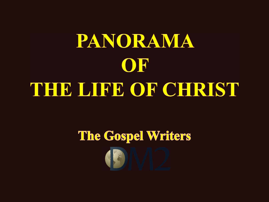# PANORAMA OF THE LIFE OF CHRIST

# The Gospel Writers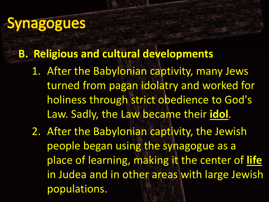### **Synagogues**

#### **B. Religious and cultural developments**

- 1. After the Babylonian captivity, many Jews turned from pagan idolatry and worked for holiness through strict obedience to God's Law. Sadly, the Law became their **idol**.
- 2. After the Babylonian captivity, the Jewish people began using the synagogue as <sup>a</sup> place of learning, making it the center of **life** in Judea and in other areas with large Jewish populations.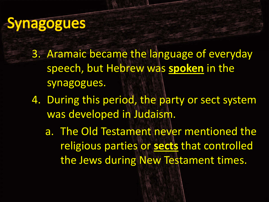### **Synagogues**

- 3. Aramaic became the language of everyday speech, but Hebrew was **spoken** in the synagogues.
- 4. During this period, the party or sect system was developed in Judaism.
	- a. The Old Testament never mentioned the religious parties or **sects** that controlled the Jews during New Testament times.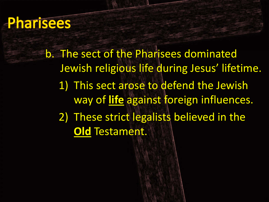#### **Pharisees**

b. The sect of the Pharisees dominated Jewish religious life during Jesus' lifetime. 1) This sect arose to defend the Jewish way of **life** against foreign influences. 2) These strict legalists believed in the **Old** Testament.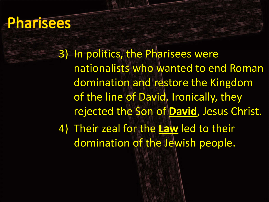#### **Pharisees**

3) In politics, the Pharisees were nationalists who wanted to end Roman domination and restore the Kingdom of the line of David. Ironically, they rejected the Son of **David**, Jesus Christ. 4) Their zeal for the **Law** led to their domination of the Jewish people.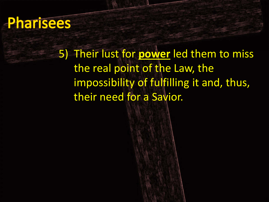#### **Pharisees**

5) Their lust for **power** led them to miss the real point of the Law, the impossibility of fulfilling it and, thus, their need for <sup>a</sup> Savior.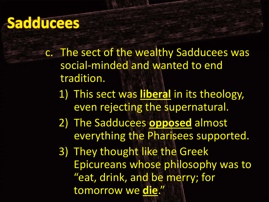#### **Sadducees**

- c. The sect of the wealthy Sadducees was social‐minded and wanted to end tradition.
	- 1) This sect was **liberal** in its theology, even rejecting the supernatural.
	- 2) The Sadducees **opposed** almost everything the Pharisees supported.
	- 3) They thought like the Greek Epicureans whose philosophy was to "eat, drink, and be merry; for tomorrow we **die**."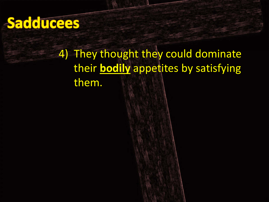#### Sadducees

#### 4) They thought they could dominate their **bodily** appetites by satisfying them.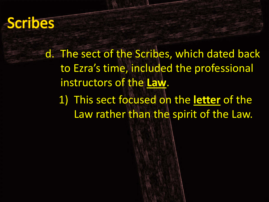#### **Scribes**

d. The sect of the Scribes, which dated back to Ezra's time, included the professional instructors of the **Law**.

1) This sect focused on the **letter** of the Law rather than the spirit of the Law.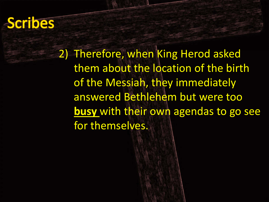#### **Scribes**

2) Therefore, when King Herod asked them about the location of the birth of the Messiah, they immediately answered Bethlehem but were too **busy** with their own agendas to go see for themselves.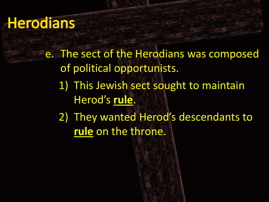#### Herodians

- e. The sect of the Herodians was composed of political opportunists. 1) This Jewish sect sought to maintain Herod's **rule**.
	- 2) They wanted Herod's descendants to **rule** on the throne.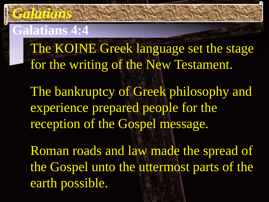#### **Galatians 4:4**

*Galatians*

The KOINE Greek language set the stage for the writing of the New Testament.

The bankruptcy of Greek philosophy and experience prepared people for the reception of the Gospel message.

Roman roads and law made the spread of the Gospel unto the uttermost parts of the earth possible.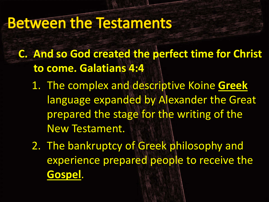#### **Between the Testaments**

- **C. And so God created the perfect time for Christ to come. Galatians 4:4**
	- 1. The complex and descriptive Koine **Greek** language expanded by Alexander the Great prepared the stage for the writing of the New Testament.
	- 2. The bankruptcy of Greek philosophy and experience prepared people to receive the **Gospel**.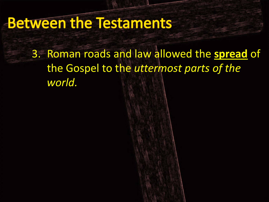#### **Between the Testaments**

3. Roman roads and law allowed the **spread** of the Gospel to the *uttermost parts of the world.*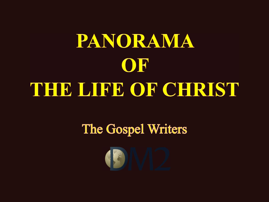# PANORAMA OF THE LIFE OF CHRIST

#### The Gospel Writers

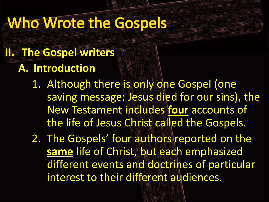#### **Who Wrote the Gospels**

#### **II. The Gospel writers A. Introduction**

- 1. Although there is only one Gospel (one saving message: Jesus died for our sins), the New Testament includes **four** accounts of the life of Jesus Christ called the Gospels.
- 2. The Gospels' four authors reported on the **same** life of Christ, but each emphasized different events and doctrines of particular interest to their different audiences.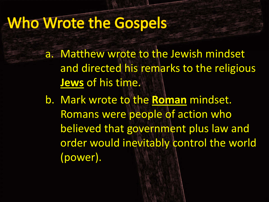#### **Who Wrote the Gospels**

a. Matthew wrote to the Jewish mindset and directed his remarks to the religious **Jews** of his time.

b. Mark wrote to the **Roman** mindset. Romans were people of action who believed that government plus law and order would inevitably control the world (power).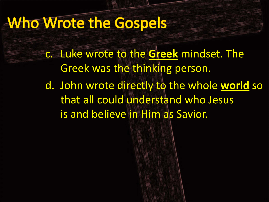#### **Who Wrote the Gospels**

c. Luke wrote to the **Greek** mindset. The Greek was the thinking person.

d. John wrote directly to the whole **world** so that all could understand who Jesus is and believe in Him as Savior.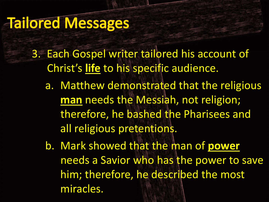- 3. Each Gospel writer tailored his account of Christ's **life** to his specific audience.
	- a. Matthew demonstrated that the religious **man** needs the Messiah, not religion; therefore, he bashed the Pharisees and all religious pretentions.
	- b. Mark showed that the man of **power** needs a Savior who has the power to save him; therefore, he described the most miracles.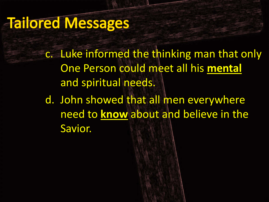c. Luke informed the thinking man that only One Person could meet all his **mental** and spiritual needs.

d. John showed that all men everywhere need to **know** about and believe in the Savior.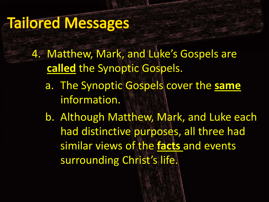- 4. Matthew, Mark, and Luke's Gospels are **called** the Synoptic Gospels.
	- a. The Synoptic Gospels cover the **same** information.
	- b. Although Matthew, Mark, and Luke each had distinctive purposes, all three had similar views of the **facts** and events surrounding Christ's life.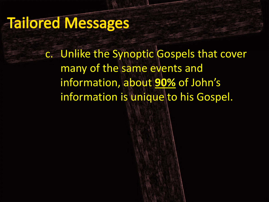c. Unlike the Synoptic Gospels that cover many of the same events and information, about **90%** of John's information is unique to his Gospel.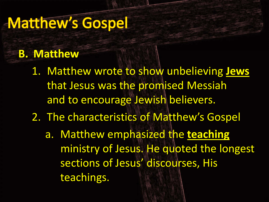#### **B. Matthew**

- 1. Matthew wrote to show unbelieving **Jews** that Jesus was the promised Messiah and to encourage Jewish believers.
- 2. The characteristics of Matthew's Gospel
	- a. Matthew emphasized the **teaching** ministry of Jesus. He quoted the longest sections of Jesus' discourses, His teachings.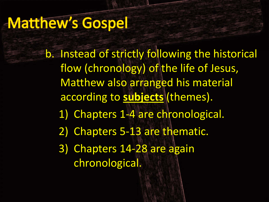b. Instead of strictly following the historical flow (chronology) of the life of Jesus, Matthew also arranged his material according to **subjects** (themes). 1) Chapters 1‐4 are chronological. 2) Chapters 5-13 are thematic. 3) Chapters 14‐28 are again chronological.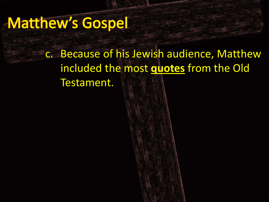c. Because of his Jewish audience, Matthew included the most **quotes** from the Old Testament.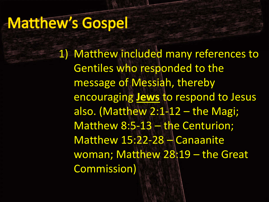1) Matthew included many references to Gentiles who responded to the message of Messiah, thereby encouraging **Jews** to respond to Jesus also. (Matthew  $2:1-12$  – the Magi; Matthew 8:5‐13 – the Centurion; Matthew 15:22‐28 – Canaanite woman; Matthew 28:19 – the Great Commission)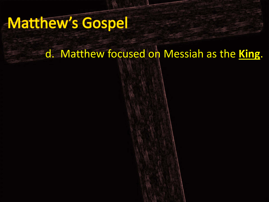#### d. Matthew focused on Messiah as the **King**.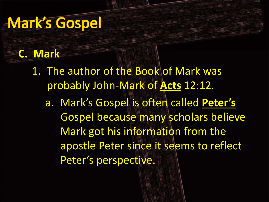#### **C. Mark**

1. The author of the Book of Mark was probably John‐Mark of **Acts** 12:12.

a. Mark's Gospel is often called **Peter's** Gospel because many scholars believe Mark got his information from the apostle Peter since it seems to reflect Peter's perspective.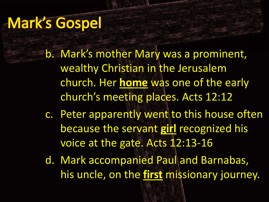b. Mark's mother Mary was <sup>a</sup> prominent, wealthy Christian in the Jerusalem church. Her **home** was one of the early church's meeting places. Acts 12:12

- c. Peter apparently went to this house often because the servant **girl** recognized his voice at the gate. Acts 12:13‐16
- d. Mark accompanied Paul and Barnabas, his uncle, on the **first** missionary journey.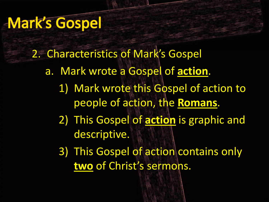2. Characteristics of Mark's Gospel a. Mark wrote <sup>a</sup> Gospel of **action**. 1) Mark wrote this Gospel of action to people of action, the **Romans**. 2) This Gospel of **action** is graphic and descriptive.

3) This Gospel of action contains only **two** of Christ's sermons.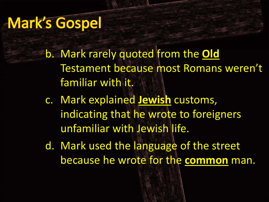- b. Mark rarely quoted from the **Old** Testament because most Romans weren't familiar with it.
- c. Mark explained **Jewish** customs, indicating that he wrote to foreigners unfamiliar with Jewish life.
- d. Mark used the language of the street because he wrote for the **common** man.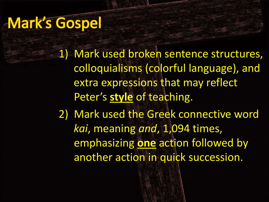1) Mark used broken sentence structures, colloquialisms (colorful language), and extra expressions that may reflect Peter's **style** of teaching. 2) Mark used the Greek connective word *kai*, meaning *and*, 1,094 times, emphasizing **one** action followed by another action in quick succession.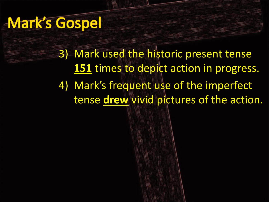3) Mark used the historic present tense **151** times to depict action in progress. 4) Mark's frequent use of the imperfect tense **drew** vivid pictures of the action.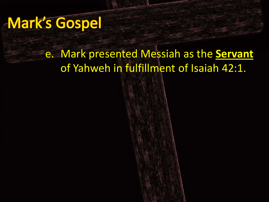#### e. Mark presented Messiah as the **Servant** of Yahweh in fulfillment of Isaiah 42:1.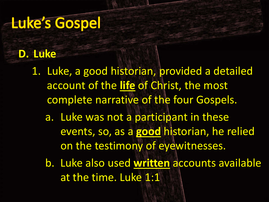#### **D. Luke**

- 1. Luke, <sup>a</sup> good historian, provided <sup>a</sup> detailed account of the **life** of Christ, the most complete narrative of the four Gospels.
	- a. Luke was not <sup>a</sup> participant in these events, so, as <sup>a</sup> **good** historian, he relied on the testimony of eyewitnesses.
	- b. Luke also used **written** accounts available at the time. Luke 1:1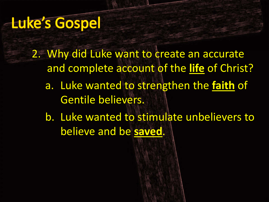- 2. Why did Luke want to create an accurate and complete account of the **life** of Christ?
	- a. Luke wanted to strengthen the **faith** of Gentile believers.
	- b. Luke wanted to stimulate unbelievers to believe and be **saved**.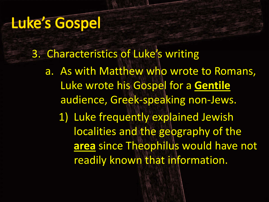3. Characteristics of Luke's writing

a. As with Matthew who wrote to Romans, Luke wrote his Gospel for <sup>a</sup> **Gentile** audience, Greek‐speaking non‐Jews.

1) Luke frequently explained Jewish localities and the geography of the **area** since Theophilus would have not readily known that information.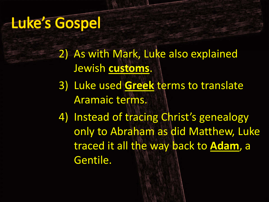2) As with Mark, Luke also explained Jewish **customs**.

3) Luke used **Greek** terms to translate Aramaic terms.

4) Instead of tracing Christ's genealogy only to Abraham as did Matthew, Luke traced it all the way back to **Adam**, <sup>a</sup> Gentile.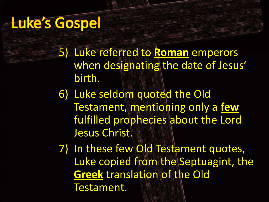- 5) Luke referred to **Roman** emperors when designating the date of Jesus' birth.
- 6) Luke seldom quoted the Old Testament, mentioning only <sup>a</sup> **few** fulfilled prophecies about the Lord Jesus Christ.
- 7) In these few Old Testament quotes, Luke copied from the Septuagint, the **Greek** translation of the Old Testament.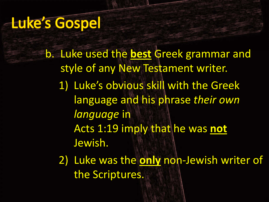b. Luke used the **best** Greek grammar and style of any New Testament writer. 1) Luke's obvious skill with the Greek language and his phrase *their own language* in Acts 1:19 imply that he was **not** Jewish.

2) Luke was the **only** non‐Jewish writer of the Scriptures.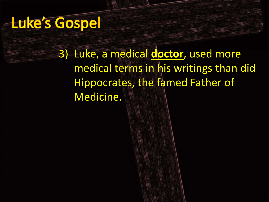3) Luke, <sup>a</sup> medical **doctor**, used more medical terms in his writings than did Hippocrates, the famed Father of Medicine.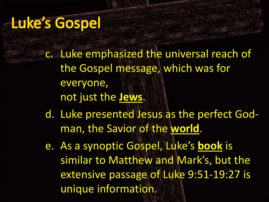- c. Luke emphasized the universal reach of the Gospel message, which was for everyone, not just the **Jews**.
- d. Luke presented Jesus as the perfect God‐ man, the Savior of the **world**.
- e. As a synoptic Gospel, Luke's **book** is similar to Matthew and Mark's, but the extensive passage of Luke 9:51‐19:27 is unique information.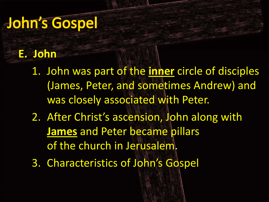#### John's Gospel

#### **E. John**

- 1. John was part of the **inner** circle of disciples (James, Peter, and sometimes Andrew) and was closely associated with Peter.
- 2. After Christ's ascension, John along with **James** and Peter became pillars of the church in Jerusalem.
- 3. Characteristics of John's Gospel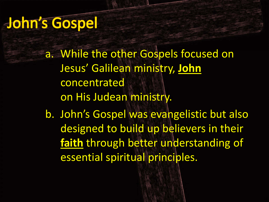#### John's Gospel

a. While the other Gospels focused on Jesus' Galilean ministry, **John** concentrated on His Judean ministry.

b. John's Gospel was evangelistic but also designed to build up believers in their **faith** through better understanding of essential spiritual principles.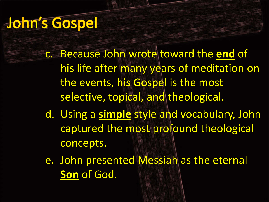#### John's Gospel

- c. Because John wrote toward the **end** of his life after many years of meditation on the events, his Gospel is the most selective, topical, and theological.
- d. Using <sup>a</sup> **simple** style and vocabulary, John captured the most profound theological concepts.
- e. John presented Messiah as the eternal **Son** of God.